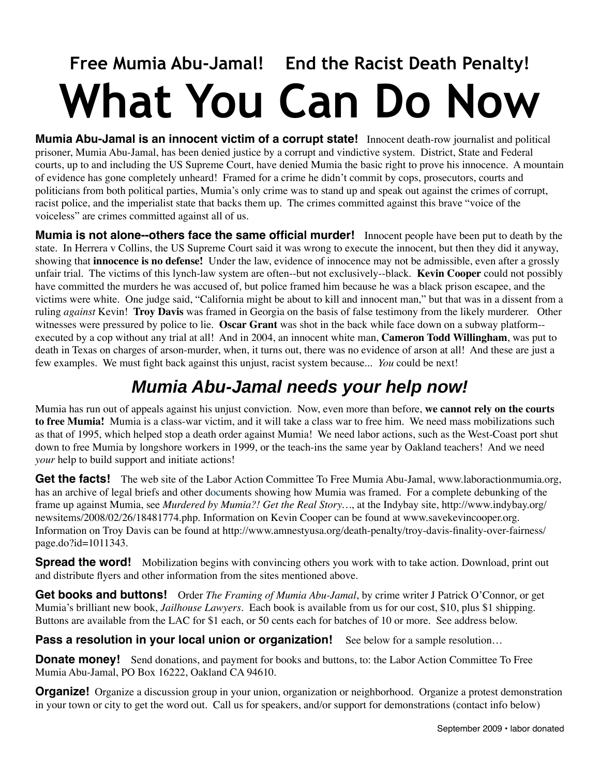# **Free Mumia Abu-Jamal! End the Racist Death Penalty! What You Can Do Now**

**Mumia Abu-Jamal is an innocent victim of a corrupt state!** Innocent death-row journalist and political prisoner, Mumia Abu-Jamal, has been denied justice by a corrupt and vindictive system. District, State and Federal courts, up to and including the US Supreme Court, have denied Mumia the basic right to prove his innocence. A mountain of evidence has gone completely unheard! Framed for a crime he didn't commit by cops, prosecutors, courts and politicians from both political parties, Mumia's only crime was to stand up and speak out against the crimes of corrupt, racist police, and the imperialist state that backs them up. The crimes committed against this brave "voice of the voiceless" are crimes committed against all of us.

**Mumia is not alone--others face the same official murder!** Innocent people have been put to death by the state. In Herrera v Collins, the US Supreme Court said it was wrong to execute the innocent, but then they did it anyway, showing that **innocence is no defense!** Under the law, evidence of innocence may not be admissible, even after a grossly unfair trial. The victims of this lynch-law system are often--but not exclusively--black. **Kevin Cooper** could not possibly have committed the murders he was accused of, but police framed him because he was a black prison escapee, and the victims were white. One judge said, "California might be about to kill and innocent man," but that was in a dissent from a ruling *against* Kevin! **Troy Davis** was framed in Georgia on the basis of false testimony from the likely murderer. Other witnesses were pressured by police to lie. **Oscar Grant** was shot in the back while face down on a subway platform- executed by a cop without any trial at all! And in 2004, an innocent white man, **Cameron Todd Willingham**, was put to death in Texas on charges of arson-murder, when, it turns out, there was no evidence of arson at all! And these are just a few examples. We must fight back against this unjust, racist system because... *You* could be next!

## **Mumia Abu-Jamal needs your help now!**

Mumia has run out of appeals against his unjust conviction. Now, even more than before, **we cannot rely on the courts to free Mumia!** Mumia is a class-war victim, and it will take a class war to free him. We need mass mobilizations such as that of 1995, which helped stop a death order against Mumia! We need labor actions, such as the West-Coast port shut down to free Mumia by longshore workers in 1999, or the teach-ins the same year by Oakland teachers! And we need *your* help to build support and initiate actions!

Get the facts! The web site of the Labor Action Committee To Free Mumia Abu-Jamal, www.laboractionmumia.org, has an archive of legal briefs and other documents showing how Mumia was framed. For a complete debunking of the frame up against Mumia, see *Murdered by Mumia?! Get the Real Story…*, at the Indybay site, [http://www.indybay.org/](http://www.indybay.org/newsitems/2008/02/26/18481774.php) [newsitems/2008/02/26/18481774.php.](http://www.indybay.org/newsitems/2008/02/26/18481774.php) Information on Kevin Cooper can be found at [www.savekevincooper.org.](http://www.savekevincooper.org) Information on Troy Davis can be found at [http://www.amnestyusa.org/death-penalty/troy-davis-finality-over-fairness/](http://www.amnestyusa.org/death-penalty/troy-davis-finality-over-fairness/page.do?id=1011343) [page.do?id=1011343](http://www.amnestyusa.org/death-penalty/troy-davis-finality-over-fairness/page.do?id=1011343).

**Spread the word!** Mobilization begins with convincing others you work with to take action. Download, print out and distribute flyers and other information from the sites mentioned above.

**Get books and buttons!** Order *The Framing of Mumia Abu-Jamal*, by crime writer J Patrick O'Connor, or get Mumia's brilliant new book, *Jailhouse Lawyers.* Each book is available from us for our cost, \$10, plus \$1 shipping. Buttons are available from the LAC for \$1 each, or 50 cents each for batches of 10 or more. See address below.

**Pass a resolution in your local union or organization!** See below for a sample resolution...

**Donate money!** Send donations, and payment for books and buttons, to: the Labor Action Committee To Free Mumia Abu-Jamal, PO Box 16222, Oakland CA 94610.

**Organize!** Organize a discussion group in your union, organization or neighborhood. Organize a protest demonstration in your town or city to get the word out. Call us for speakers, and/or support for demonstrations (contact info below)